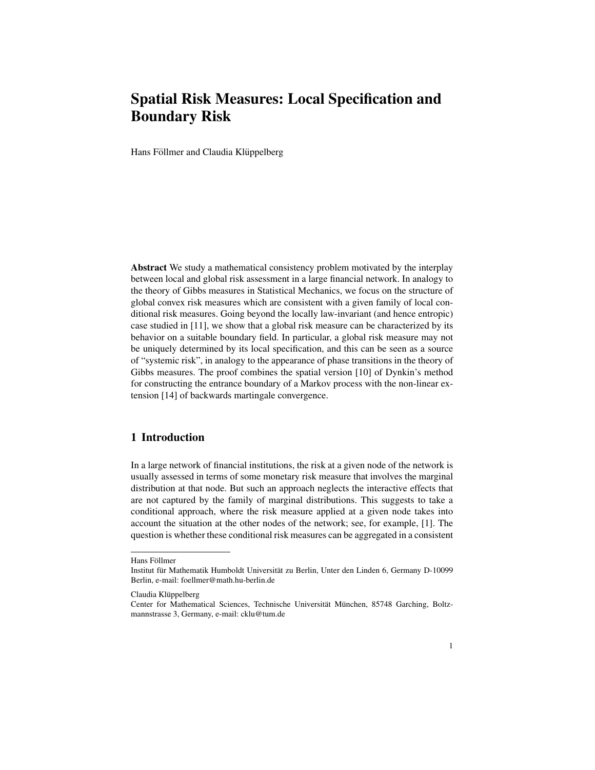# Spatial Risk Measures: Local Specification and Boundary Risk

Hans Föllmer and Claudia Klüppelberg

Abstract We study a mathematical consistency problem motivated by the interplay between local and global risk assessment in a large financial network. In analogy to the theory of Gibbs measures in Statistical Mechanics, we focus on the structure of global convex risk measures which are consistent with a given family of local conditional risk measures. Going beyond the locally law-invariant (and hence entropic) case studied in [11], we show that a global risk measure can be characterized by its behavior on a suitable boundary field. In particular, a global risk measure may not be uniquely determined by its local specification, and this can be seen as a source of "systemic risk", in analogy to the appearance of phase transitions in the theory of Gibbs measures. The proof combines the spatial version [10] of Dynkin's method for constructing the entrance boundary of a Markov process with the non-linear extension [14] of backwards martingale convergence.

### 1 Introduction

In a large network of financial institutions, the risk at a given node of the network is usually assessed in terms of some monetary risk measure that involves the marginal distribution at that node. But such an approach neglects the interactive effects that are not captured by the family of marginal distributions. This suggests to take a conditional approach, where the risk measure applied at a given node takes into account the situation at the other nodes of the network; see, for example, [1]. The question is whether these conditional risk measures can be aggregated in a consistent

Hans Föllmer

Institut für Mathematik Humboldt Universität zu Berlin, Unter den Linden 6, Germany D-10099 Berlin, e-mail: foellmer@math.hu-berlin.de

Claudia Klüppelberg

Center for Mathematical Sciences, Technische Universität München, 85748 Garching, Boltzmannstrasse 3, Germany, e-mail: cklu@tum.de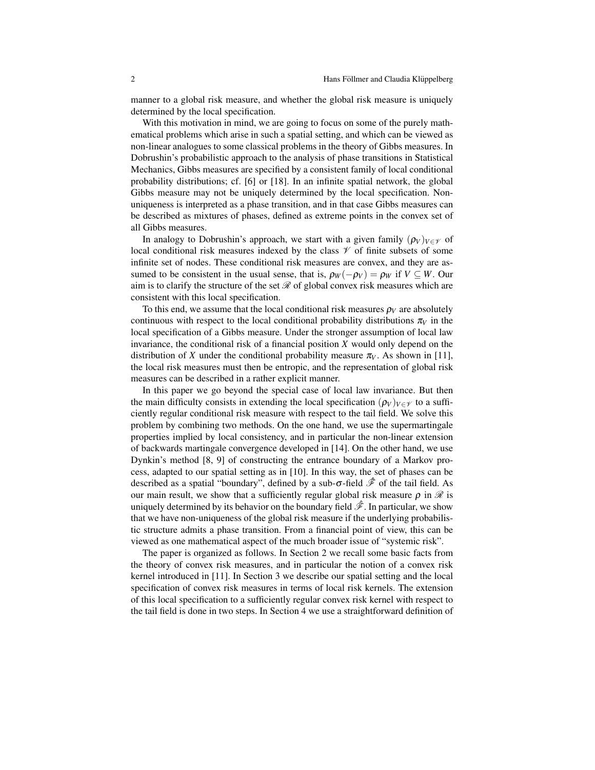manner to a global risk measure, and whether the global risk measure is uniquely determined by the local specification.

With this motivation in mind, we are going to focus on some of the purely mathematical problems which arise in such a spatial setting, and which can be viewed as non-linear analogues to some classical problems in the theory of Gibbs measures. In Dobrushin's probabilistic approach to the analysis of phase transitions in Statistical Mechanics, Gibbs measures are specified by a consistent family of local conditional probability distributions; cf. [6] or [18]. In an infinite spatial network, the global Gibbs measure may not be uniquely determined by the local specification. Nonuniqueness is interpreted as a phase transition, and in that case Gibbs measures can be described as mixtures of phases, defined as extreme points in the convex set of all Gibbs measures.

In analogy to Dobrushin's approach, we start with a given family  $(\rho_V)_{V \in \mathcal{V}}$  of local conditional risk measures indexed by the class  $\mathcal V$  of finite subsets of some infinite set of nodes. These conditional risk measures are convex, and they are assumed to be consistent in the usual sense, that is,  $\rho_W(-\rho_V) = \rho_W$  if  $V \subseteq W$ . Our aim is to clarify the structure of the set  $\mathcal R$  of global convex risk measures which are consistent with this local specification.

To this end, we assume that the local conditional risk measures  $\rho_V$  are absolutely continuous with respect to the local conditional probability distributions  $\pi_V$  in the local specification of a Gibbs measure. Under the stronger assumption of local law invariance, the conditional risk of a financial position *X* would only depend on the distribution of *X* under the conditional probability measure  $\pi_V$ . As shown in [11], the local risk measures must then be entropic, and the representation of global risk measures can be described in a rather explicit manner.

In this paper we go beyond the special case of local law invariance. But then the main difficulty consists in extending the local specification  $(\rho_V)_{V \in \mathcal{V}}$  to a sufficiently regular conditional risk measure with respect to the tail field. We solve this problem by combining two methods. On the one hand, we use the supermartingale properties implied by local consistency, and in particular the non-linear extension of backwards martingale convergence developed in [14]. On the other hand, we use Dynkin's method [8, 9] of constructing the entrance boundary of a Markov process, adapted to our spatial setting as in [10]. In this way, the set of phases can be described as a spatial "boundary", defined by a sub-σ-field *F*ˆ of the tail field. As our main result, we show that a sufficiently regular global risk measure  $\rho$  in  $\mathcal R$  is uniquely determined by its behavior on the boundary field  $\hat{\mathscr{F}}$ . In particular, we show that we have non-uniqueness of the global risk measure if the underlying probabilistic structure admits a phase transition. From a financial point of view, this can be viewed as one mathematical aspect of the much broader issue of "systemic risk".

The paper is organized as follows. In Section 2 we recall some basic facts from the theory of convex risk measures, and in particular the notion of a convex risk kernel introduced in [11]. In Section 3 we describe our spatial setting and the local specification of convex risk measures in terms of local risk kernels. The extension of this local specification to a sufficiently regular convex risk kernel with respect to the tail field is done in two steps. In Section 4 we use a straightforward definition of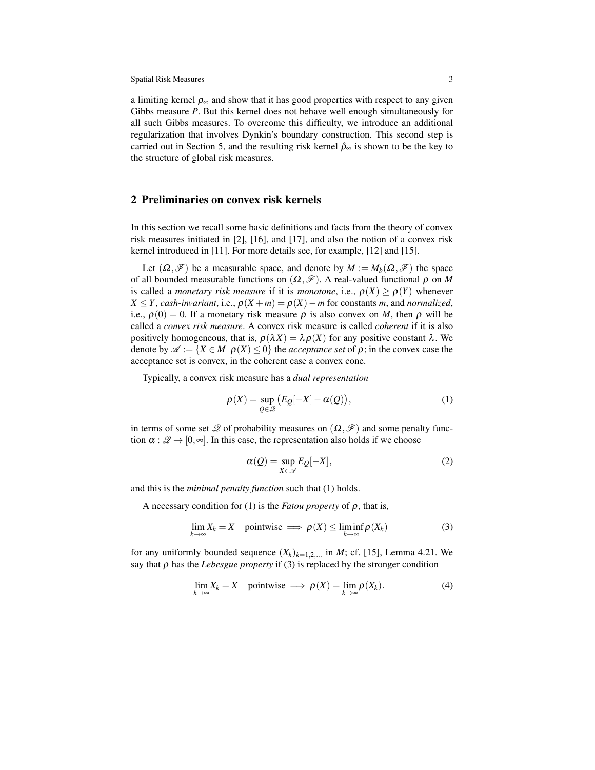a limiting kernel  $\rho_{\infty}$  and show that it has good properties with respect to any given Gibbs measure *P*. But this kernel does not behave well enough simultaneously for all such Gibbs measures. To overcome this difficulty, we introduce an additional regularization that involves Dynkin's boundary construction. This second step is carried out in Section 5, and the resulting risk kernel  $\hat{\rho}_{\infty}$  is shown to be the key to the structure of global risk measures.

### 2 Preliminaries on convex risk kernels

In this section we recall some basic definitions and facts from the theory of convex risk measures initiated in [2], [16], and [17], and also the notion of a convex risk kernel introduced in [11]. For more details see, for example, [12] and [15].

Let  $(\Omega, \mathcal{F})$  be a measurable space, and denote by  $M := M_b(\Omega, \mathcal{F})$  the space of all bounded measurable functions on  $(\Omega, \mathscr{F})$ . A real-valued functional  $\rho$  on *M* is called a *monetary risk measure* if it is *monotone*, i.e.,  $\rho(X) \geq \rho(Y)$  whenever  $X \leq Y$ , *cash-invariant*, i.e.,  $\rho(X + m) = \rho(X) - m$  for constants *m*, and *normalized*, i.e.,  $\rho(0) = 0$ . If a monetary risk measure  $\rho$  is also convex on *M*, then  $\rho$  will be called a *convex risk measure*. A convex risk measure is called *coherent* if it is also positively homogeneous, that is,  $\rho(\lambda X) = \lambda \rho(X)$  for any positive constant  $\lambda$ . We denote by  $\mathscr{A} := \{X \in M \mid \rho(X) \leq 0\}$  the *acceptance set* of  $\rho$ ; in the convex case the acceptance set is convex, in the coherent case a convex cone.

Typically, a convex risk measure has a *dual representation*

$$
\rho(X) = \sup_{Q \in \mathcal{Q}} (E_Q[-X] - \alpha(Q)), \tag{1}
$$

in terms of some set  $\mathscr Q$  of probability measures on  $(\Omega, \mathscr F)$  and some penalty function  $\alpha : \mathscr{Q} \to [0, \infty]$ . In this case, the representation also holds if we choose

$$
\alpha(Q) = \sup_{X \in \mathscr{A}} E_Q[-X],\tag{2}
$$

and this is the *minimal penalty function* such that (1) holds.

A necessary condition for (1) is the *Fatou property* of  $\rho$ , that is,

$$
\lim_{k \to \infty} X_k = X \quad \text{pointwise} \implies \rho(X) \le \liminf_{k \to \infty} \rho(X_k) \tag{3}
$$

for any uniformly bounded sequence  $(X_k)_{k=1,2,...}$  in *M*; cf. [15], Lemma 4.21. We say that  $\rho$  has the *Lebesgue property* if (3) is replaced by the stronger condition

$$
\lim_{k \to \infty} X_k = X \quad \text{pointwise} \implies \rho(X) = \lim_{k \to \infty} \rho(X_k). \tag{4}
$$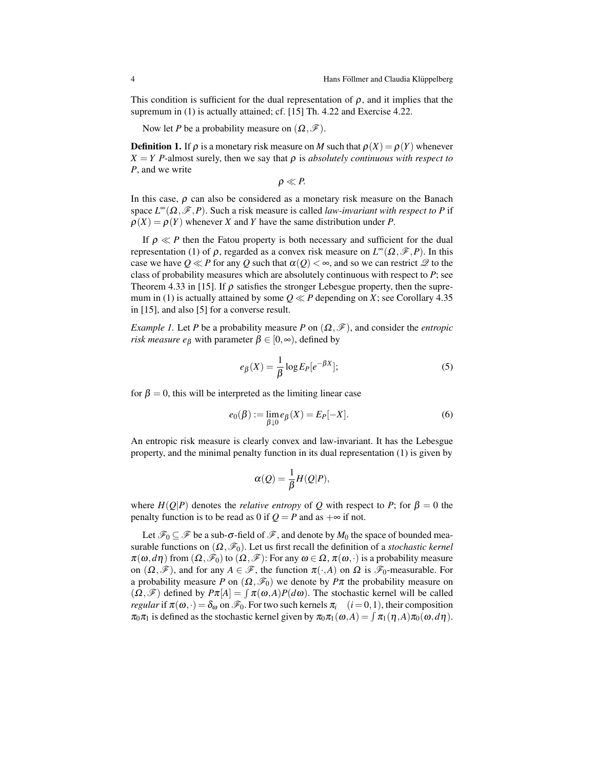This condition is sufficient for the dual representation of  $\rho$ , and it implies that the supremum in (1) is actually attained; cf. [15] Th. 4.22 and Exercise 4.22.

Now let *P* be a probability measure on  $(\Omega, \mathcal{F})$ .

**Definition 1.** If  $\rho$  is a monetary risk measure on *M* such that  $\rho(X) = \rho(Y)$  whenever  $X = Y$  *P*-almost surely, then we say that  $\rho$  is *absolutely continuous with respect to P*, and we write

$$
\rho \ll P.
$$

In this case,  $\rho$  can also be considered as a monetary risk measure on the Banach space  $L^{\infty}(\Omega, \mathcal{F}, P)$ . Such a risk measure is called *law-invariant with respect to P* if  $\rho(X) = \rho(Y)$  whenever *X* and *Y* have the same distribution under *P*.

If  $\rho \ll P$  then the Fatou property is both necessary and sufficient for the dual representation (1) of ρ, regarded as a convex risk measure on *L*∞(Ω*,F,P*). In this case we have  $0 \ll P$  for any *Q* such that  $\alpha(0) < \infty$ , and so we can restrict  $\mathscr Q$  to the class of probability measures which are absolutely continuous with respect to *P*; see Theorem 4.33 in [15]. If  $\rho$  satisfies the stronger Lebesgue property, then the supremum in (1) is actually attained by some  $Q \ll P$  depending on *X*; see Corollary 4.35 in [15], and also [5] for a converse result.

*Example 1.* Let *P* be a probability measure *P* on  $(\Omega, \mathcal{F})$ , and consider the *entropic risk measure e*<sub>β</sub> with parameter  $\beta \in [0, \infty)$ , defined by

$$
e_{\beta}(X) = \frac{1}{\beta} \log E_P[e^{-\beta X}];\tag{5}
$$

for  $\beta = 0$ , this will be interpreted as the limiting linear case

$$
e_0(\beta) := \lim_{\beta \downarrow 0} e_\beta(X) = E_P[-X].
$$
 (6)

An entropic risk measure is clearly convex and law-invariant. It has the Lebesgue property, and the minimal penalty function in its dual representation (1) is given by

$$
\alpha(Q) = \frac{1}{\beta} H(Q|P),
$$

where  $H(Q|P)$  denotes the *relative entropy* of *Q* with respect to *P*; for  $\beta = 0$  the penalty function is to be read as 0 if  $Q = P$  and as  $+\infty$  if not.

Let  $\mathscr{F}_0 \subseteq \mathscr{F}$  be a sub- $\sigma$ -field of  $\mathscr{F}$ , and denote by  $M_0$  the space of bounded measurable functions on  $(\Omega, \mathcal{F}_0)$ . Let us first recall the definition of a *stochastic kernel*  $\pi(\omega, d\eta)$  from  $(\Omega, \mathscr{F}_0)$  to  $(\Omega, \mathscr{F})$ : For any  $\omega \in \Omega$ ,  $\pi(\omega, \cdot)$  is a probability measure on  $(\Omega, \mathscr{F})$ , and for any  $A \in \mathscr{F}$ , the function  $\pi(\cdot, A)$  on  $\Omega$  is  $\mathscr{F}_0$ -measurable. For a probability measure *P* on  $(\Omega, \mathcal{F}_0)$  we denote by  $P\pi$  the probability measure on  $(\Omega, \mathscr{F})$  defined by  $P\pi[A] = \int \pi(\omega, A)P(d\omega)$ . The stochastic kernel will be called *regular* if  $\pi(\omega, \cdot) = \delta_{\omega}$  on  $\mathcal{F}_0$ . For two such kernels  $\pi_i$   $(i = 0, 1)$ , their composition  $\pi_0 \pi_1$  is defined as the stochastic kernel given by  $\pi_0 \pi_1(\omega, A) = \int \pi_1(\eta, A) \pi_0(\omega, d\eta)$ .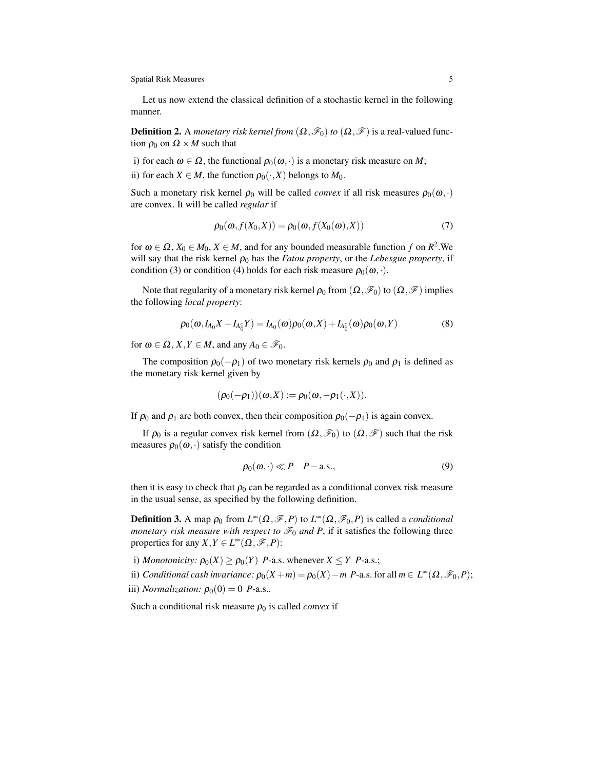Let us now extend the classical definition of a stochastic kernel in the following manner.

**Definition 2.** A *monetary risk kernel from*  $(\Omega, \mathcal{F}_0)$  *to*  $(\Omega, \mathcal{F})$  is a real-valued function  $\rho_0$  on  $\Omega \times M$  such that

i) for each  $\omega \in \Omega$ , the functional  $\rho_0(\omega, \cdot)$  is a monetary risk measure on *M*;

ii) for each  $X \in M$ , the function  $\rho_0(\cdot, X)$  belongs to  $M_0$ .

Such a monetary risk kernel  $\rho_0$  will be called *convex* if all risk measures  $\rho_0(\omega, \cdot)$ are convex. It will be called *regular* if

$$
\rho_0(\omega, f(X_0, X)) = \rho_0(\omega, f(X_0(\omega), X))
$$
\n(7)

for  $\omega \in \Omega$ ,  $X_0 \in M_0$ ,  $X \in M$ , and for any bounded measurable function f on  $R^2$ . We will say that the risk kernel  $\rho_0$  has the *Fatou property*, or the *Lebesgue property*, if condition (3) or condition (4) holds for each risk measure  $\rho_0(\omega, \cdot)$ .

Note that regularity of a monetary risk kernel  $\rho_0$  from  $(\Omega, \mathcal{F}_0)$  to  $(\Omega, \mathcal{F})$  implies the following *local property*:

$$
\rho_0(\omega, I_{A_0}X + I_{A_0^c}Y) = I_{A_0}(\omega)\rho_0(\omega, X) + I_{A_0^c}(\omega)\rho_0(\omega, Y)
$$
\n(8)

for  $\omega \in \Omega$ ,  $X, Y \in M$ , and any  $A_0 \in \mathcal{F}_0$ .

The composition  $\rho_0(-\rho_1)$  of two monetary risk kernels  $\rho_0$  and  $\rho_1$  is defined as the monetary risk kernel given by

$$
(\rho_0(-\rho_1))(\omega, X) := \rho_0(\omega, -\rho_1(\cdot, X)).
$$

If  $\rho_0$  and  $\rho_1$  are both convex, then their composition  $\rho_0(-\rho_1)$  is again convex.

If  $\rho_0$  is a regular convex risk kernel from  $(\Omega, \mathcal{F}_0)$  to  $(\Omega, \mathcal{F})$  such that the risk measures  $\rho_0(\omega, \cdot)$  satisfy the condition

$$
\rho_0(\omega,\cdot)\ll P-P-\text{a.s.},\tag{9}
$$

then it is easy to check that  $\rho_0$  can be regarded as a conditional convex risk measure in the usual sense, as specified by the following definition.

**Definition 3.** A map  $\rho_0$  from  $L^{\infty}(\Omega, \mathcal{F}, P)$  to  $L^{\infty}(\Omega, \mathcal{F}_0, P)$  is called a *conditional monetary risk measure with respect to*  $\mathcal{F}_0$  *and* P, if it satisfies the following three properties for any *X,Y* ∈ *L*<sup>∞</sup>( $\Omega$ *,* $\mathscr{F}$ *,P*):

i) *Monotonicity:*  $\rho_0(X) \ge \rho_0(Y)$  *P*-a.s. whenever  $X \le Y$  *P*-a.s.;

ii) *Conditional cash invariance:*  $\rho_0(X+m) = \rho_0(X) - m$  *P*-a.s. for all  $m \in L^{\infty}(\Omega, \mathcal{F}_0, P)$ ; iii) *Normalization:*  $\rho_0(0) = 0$  *P*-a.s..

Such a conditional risk measure  $\rho_0$  is called *convex* if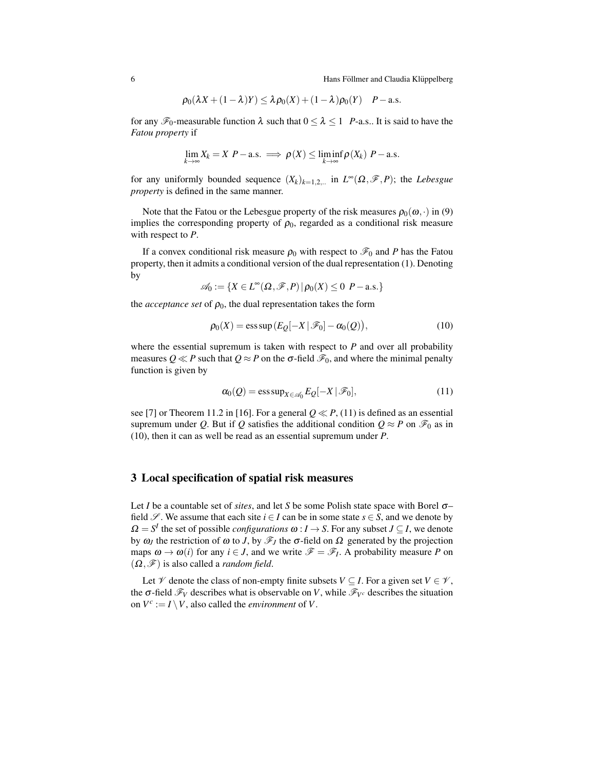$$
\rho_0(\lambda X + (1 - \lambda)Y) \leq \lambda \rho_0(X) + (1 - \lambda) \rho_0(Y) \quad P - a.s.
$$

for any  $\mathscr{F}_0$ -measurable function  $\lambda$  such that  $0 \leq \lambda \leq 1$  *P*-a.s.. It is said to have the *Fatou property* if

$$
\lim_{k \to \infty} X_k = X \ P - \text{a.s.} \implies \rho(X) \le \liminf_{k \to \infty} \rho(X_k) \ P - \text{a.s.}
$$

for any uniformly bounded sequence  $(X_k)_{k=1,2,...}$  in  $L^\infty(\Omega, \mathscr{F}, P)$ ; the *Lebesgue property* is defined in the same manner.

Note that the Fatou or the Lebesgue property of the risk measures  $\rho_0(\omega, \cdot)$  in (9) implies the corresponding property of  $\rho_0$ , regarded as a conditional risk measure with respect to *P*.

If a convex conditional risk measure  $\rho_0$  with respect to  $\mathcal{F}_0$  and *P* has the Fatou property, then it admits a conditional version of the dual representation (1). Denoting by

$$
\mathscr{A}_0 := \{ X \in L^\infty(\Omega, \mathscr{F}, P) \, | \, \rho_0(X) \leq 0 \, P-\text{a.s.} \}
$$

the *acceptance set* of  $\rho_0$ , the dual representation takes the form

$$
\rho_0(X) = \operatorname{ess\,sup}\left(E_Q[-X \,|\, \mathscr{F}_0] - \alpha_0(Q)\right),\tag{10}
$$

where the essential supremum is taken with respect to *P* and over all probability measures  $Q \ll P$  such that  $Q \approx P$  on the  $\sigma$ -field  $\mathcal{F}_0$ , and where the minimal penalty function is given by

$$
\alpha_0(Q) = \operatorname{ess\,sup}_{X \in \mathscr{A}_0} E_Q[-X \,|\, \mathscr{F}_0],\tag{11}
$$

see [7] or Theorem 11.2 in [16]. For a general  $0 \ll P$ , (11) is defined as an essential supremum under *Q*. But if *Q* satisfies the additional condition  $Q \approx P$  on  $\mathcal{F}_0$  as in (10), then it can as well be read as an essential supremum under *P*.

### 3 Local specification of spatial risk measures

Let *I* be a countable set of *sites*, and let *S* be some Polish state space with Borel σ– field  $\mathscr{S}$ . We assume that each site  $i \in I$  can be in some state  $s \in S$ , and we denote by  $\Omega = S^I$  the set of possible *configurations*  $\omega : I \to S$ . For any subset  $J \subseteq I$ , we denote by  $ω_J$  the restriction of  $ω$  to *J*, by  $\mathscr{F}_J$  the σ-field on  $Ω$  generated by the projection maps  $\omega \to \omega(i)$  for any  $i \in J$ , and we write  $\mathscr{F} = \mathscr{F}_I$ . A probability measure P on  $(\Omega, \mathscr{F})$  is also called a *random field*.

Let  $\mathcal V$  denote the class of non-empty finite subsets  $V \subseteq I$ . For a given set  $V \in \mathcal V$ , the  $\sigma$ -field  $\mathscr{F}_V$  describes what is observable on *V*, while  $\mathscr{F}_{V^c}$  describes the situation on  $V^c := I \setminus V$ , also called the *environment* of *V*.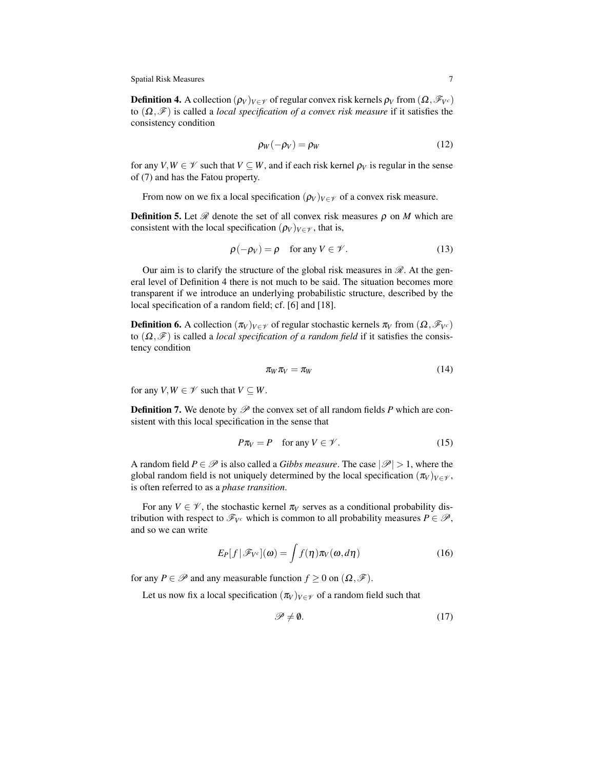**Definition 4.** A collection  $(\rho_V)_{V \in \mathcal{V}}$  of regular convex risk kernels  $\rho_V$  from  $(\Omega, \mathcal{F}_{V^c})$ to (Ω*,F*) is called a *local specification of a convex risk measure* if it satisfies the consistency condition

$$
\rho_W(-\rho_V) = \rho_W \tag{12}
$$

for any  $V, W \in \mathcal{V}$  such that  $V \subseteq W$ , and if each risk kernel  $\rho_V$  is regular in the sense of (7) and has the Fatou property.

From now on we fix a local specification  $(\rho_V)_{V \in \mathcal{V}}$  of a convex risk measure.

**Definition 5.** Let  $\mathcal{R}$  denote the set of all convex risk measures  $\rho$  on *M* which are consistent with the local specification  $(\rho_V)_{V \in \mathcal{V}}$ , that is,

$$
\rho(-\rho_V) = \rho \quad \text{ for any } V \in \mathscr{V}.
$$
 (13)

Our aim is to clarify the structure of the global risk measures in  $\mathcal{R}$ . At the general level of Definition 4 there is not much to be said. The situation becomes more transparent if we introduce an underlying probabilistic structure, described by the local specification of a random field; cf. [6] and [18].

**Definition 6.** A collection  $(\pi_V)_{V \in \mathcal{V}}$  of regular stochastic kernels  $\pi_V$  from  $(\Omega, \mathcal{F}_{V^c})$ to (Ω*,F*) is called a *local specification of a random field* if it satisfies the consistency condition

$$
\pi_W \pi_V = \pi_W \tag{14}
$$

for any  $V, W \in \mathcal{V}$  such that  $V \subseteq W$ .

**Definition 7.** We denote by  $\mathscr P$  the convex set of all random fields P which are consistent with this local specification in the sense that

$$
P\pi_V = P \quad \text{for any } V \in \mathcal{V}.
$$
 (15)

A random field  $P \in \mathcal{P}$  is also called a *Gibbs measure*. The case  $|\mathcal{P}| > 1$ , where the global random field is not uniquely determined by the local specification  $(\pi_V)_{V \in \mathcal{V}}$ , is often referred to as a *phase transition*.

For any  $V \in \mathcal{V}$ , the stochastic kernel  $\pi_V$  serves as a conditional probability distribution with respect to  $\mathscr{F}_{V^c}$  which is common to all probability measures  $P \in \mathscr{P}$ , and so we can write

$$
E_P[f|\mathscr{F}_{V^c}](\omega) = \int f(\eta)\pi_V(\omega, d\eta)
$$
 (16)

for any  $P \in \mathcal{P}$  and any measurable function  $f \geq 0$  on  $(\Omega, \mathcal{F})$ .

Let us now fix a local specification  $(\pi_V)_{V \in \mathcal{V}}$  of a random field such that

$$
\mathscr{P} \neq \mathbf{0}.\tag{17}
$$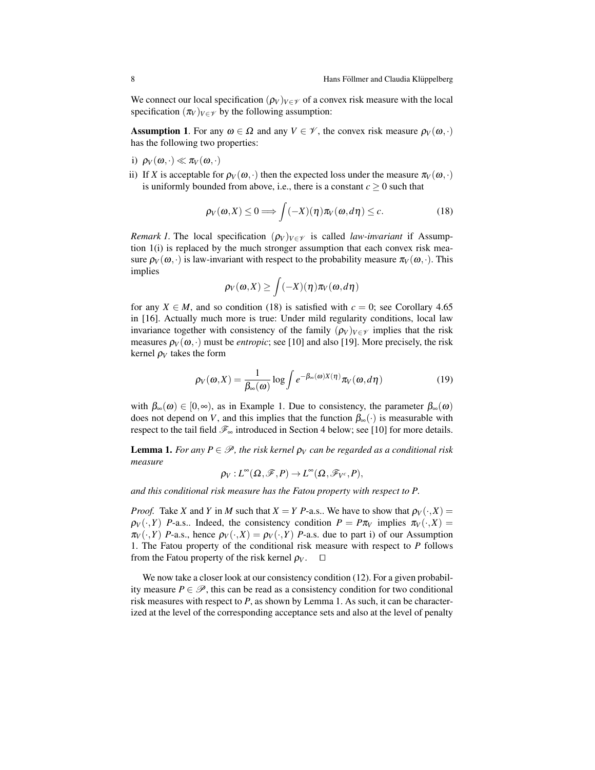We connect our local specification  $(\rho_V)_{V \in \mathcal{V}}$  of a convex risk measure with the local specification  $(\pi_V)_{V \in \mathcal{V}}$  by the following assumption:

**Assumption 1.** For any  $\omega \in \Omega$  and any  $V \in \mathcal{V}$ , the convex risk measure  $\rho_V(\omega, \cdot)$ has the following two properties:

- i)  $\rho_V(\omega, \cdot) \ll \pi_V(\omega, \cdot)$
- ii) If *X* is acceptable for  $\rho_V(\omega, \cdot)$  then the expected loss under the measure  $\pi_V(\omega, \cdot)$ is uniformly bounded from above, i.e., there is a constant  $c \geq 0$  such that

$$
\rho_V(\omega, X) \le 0 \Longrightarrow \int (-X)(\eta) \pi_V(\omega, d\eta) \le c. \tag{18}
$$

*Remark 1.* The local specification  $(\rho_V)_{V \in \mathcal{V}}$  is called *law-invariant* if Assumption 1(i) is replaced by the much stronger assumption that each convex risk measure  $\rho_V(\omega, \cdot)$  is law-invariant with respect to the probability measure  $\pi_V(\omega, \cdot)$ . This implies

$$
\rho_V(\omega, X) \ge \int (-X)(\eta) \pi_V(\omega, d\eta)
$$

for any  $X \in M$ , and so condition (18) is satisfied with  $c = 0$ ; see Corollary 4.65 in [16]. Actually much more is true: Under mild regularity conditions, local law invariance together with consistency of the family  $(\rho_V)_{V \in \mathcal{V}}$  implies that the risk measures  $\rho_V(\omega, \cdot)$  must be *entropic*; see [10] and also [19]. More precisely, the risk kernel  $\rho_V$  takes the form

$$
\rho_V(\omega, X) = \frac{1}{\beta_\infty(\omega)} \log \int e^{-\beta_\infty(\omega)X(\eta)} \pi_V(\omega, d\eta)
$$
 (19)

with  $\beta_{\infty}(\omega) \in [0,\infty)$ , as in Example 1. Due to consistency, the parameter  $\beta_{\infty}(\omega)$ does not depend on *V*, and this implies that the function  $\beta_{\infty}(\cdot)$  is measurable with respect to the tail field  $\mathcal{F}_{\infty}$  introduced in Section 4 below; see [10] for more details.

**Lemma 1.** *For any*  $P \in \mathcal{P}$ *, the risk kernel*  $\rho_V$  *can be regarded as a conditional risk measure*

$$
\rho_V: L^{\infty}(\Omega, \mathscr{F}, P) \to L^{\infty}(\Omega, \mathscr{F}_{V^c}, P),
$$

*and this conditional risk measure has the Fatou property with respect to P.*

*Proof.* Take *X* and *Y* in *M* such that  $X = Y$  *P*-a.s.. We have to show that  $\rho_V(\cdot, X) =$  $\rho_V(\cdot, Y)$  *P*-a.s.. Indeed, the consistency condition  $P = P \pi_V$  implies  $\pi_V(\cdot, X) =$  $\pi_V(\cdot, Y)$  *P*-a.s., hence  $\rho_V(\cdot, X) = \rho_V(\cdot, Y)$  *P*-a.s. due to part i) of our Assumption 1. The Fatou property of the conditional risk measure with respect to *P* follows from the Fatou property of the risk kernel  $\rho_V$ .  $\Box$ 

We now take a closer look at our consistency condition (12). For a given probability measure  $P \in \mathcal{P}$ , this can be read as a consistency condition for two conditional risk measures with respect to *P*, as shown by Lemma 1. As such, it can be characterized at the level of the corresponding acceptance sets and also at the level of penalty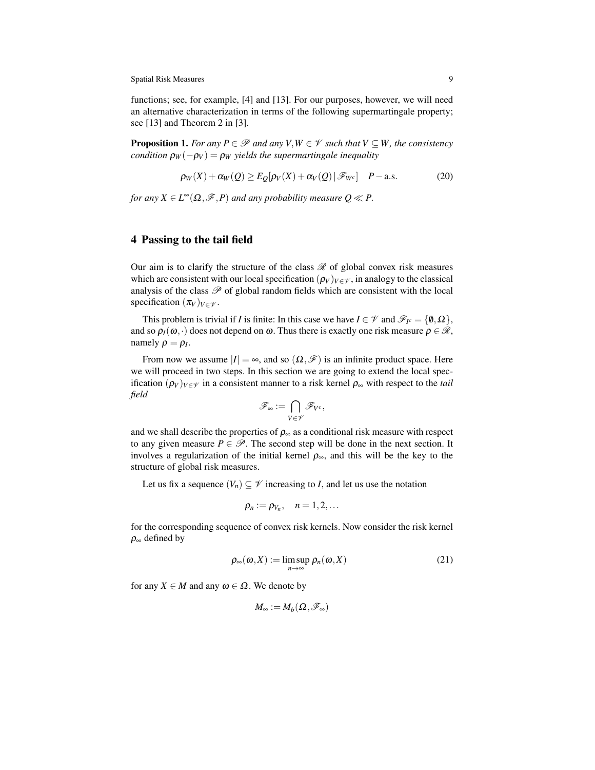functions; see, for example, [4] and [13]. For our purposes, however, we will need an alternative characterization in terms of the following supermartingale property; see [13] and Theorem 2 in [3].

**Proposition 1.** *For any*  $P \in \mathcal{P}$  *and any*  $V, W \in \mathcal{V}$  *such that*  $V \subseteq W$ *, the consistency condition*  $\rho_W(-\rho_V) = \rho_W$  *yields the supermartingale inequality* 

$$
\rho_W(X) + \alpha_W(Q) \ge E_Q[\rho_V(X) + \alpha_V(Q) | \mathscr{F}_{W^c}] \quad P-\text{a.s.}
$$
 (20)

*for any*  $X \in L^{\infty}(\Omega, \mathcal{F}, P)$  *and any probability measure*  $Q \ll P$ .

## 4 Passing to the tail field

Our aim is to clarify the structure of the class  $\mathscr R$  of global convex risk measures which are consistent with our local specification  $(\rho_V)_{V \in \mathcal{V}}$ , in analogy to the classical analysis of the class  $P$  of global random fields which are consistent with the local specification  $(\pi_V)_{V \in \mathcal{V}}$ .

This problem is trivial if *I* is finite: In this case we have  $I \in \mathcal{V}$  and  $\mathcal{F}_{I^c} = \{0, \Omega\}$ , and so  $\rho_I(\omega, \cdot)$  does not depend on  $\omega$ . Thus there is exactly one risk measure  $\rho \in \mathcal{R}$ , namely  $\rho = \rho_I$ .

From now we assume  $|I| = \infty$ , and so  $(\Omega, \mathcal{F})$  is an infinite product space. Here we will proceed in two steps. In this section we are going to extend the local specification  $(\rho_V)_{V \in \mathcal{V}}$  in a consistent manner to a risk kernel  $\rho_{\infty}$  with respect to the *tail field*

$$
\mathscr{F}_{\infty} := \bigcap_{V \in \mathscr{V}} \mathscr{F}_{V^c},
$$

and we shall describe the properties of  $\rho_{\infty}$  as a conditional risk measure with respect to any given measure  $P \in \mathcal{P}$ . The second step will be done in the next section. It involves a regularization of the initial kernel  $\rho_{\infty}$ , and this will be the key to the structure of global risk measures.

Let us fix a sequence  $(V_n) \subseteq V$  increasing to *I*, and let us use the notation

$$
\rho_n:=\rho_{V_n}, \quad n=1,2,\ldots
$$

for the corresponding sequence of convex risk kernels. Now consider the risk kernel  $\rho_{\infty}$  defined by

$$
\rho_{\infty}(\omega, X) := \limsup_{n \to \infty} \rho_n(\omega, X) \tag{21}
$$

for any  $X \in M$  and any  $\omega \in \Omega$ . We denote by

$$
M_\infty:=M_b(\Omega,\mathscr{F}_\infty)
$$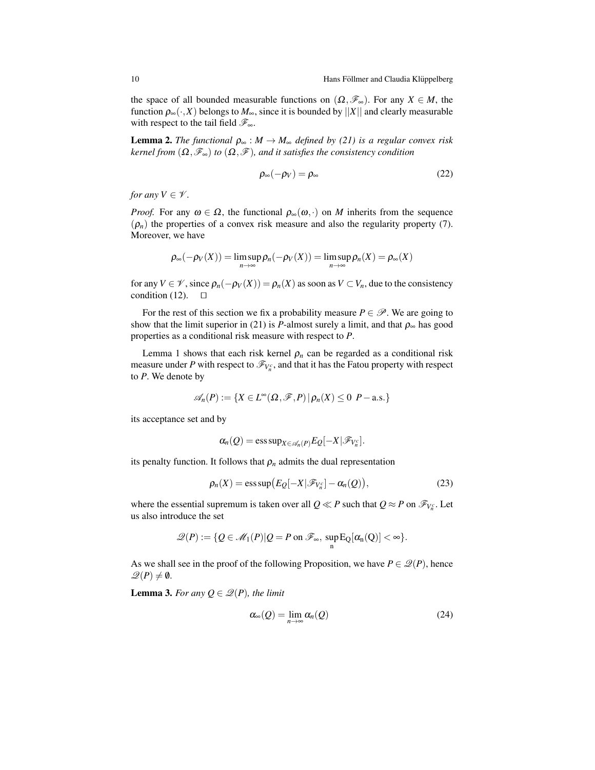the space of all bounded measurable functions on  $(\Omega, \mathscr{F}_\infty)$ . For any  $X \in M$ , the function  $\rho_{\infty}(\cdot,X)$  belongs to  $M_{\infty}$ , since it is bounded by ||X|| and clearly measurable with respect to the tail field *F*∞.

**Lemma 2.** *The functional*  $\rho_{\infty}: M \to M_{\infty}$  *defined by (21) is a regular convex risk kernel from*  $(\Omega, \mathcal{F}_\infty)$  *to*  $(\Omega, \mathcal{F})$ *, and it satisfies the consistency condition* 

$$
\rho_{\infty}(-\rho_V) = \rho_{\infty} \tag{22}
$$

*for any*  $V \in \mathcal{V}$ *.* 

*Proof.* For any  $\omega \in \Omega$ , the functional  $\rho_{\infty}(\omega, \cdot)$  on *M* inherits from the sequence  $(\rho_n)$  the properties of a convex risk measure and also the regularity property (7). Moreover, we have

$$
\rho_{\infty}(-\rho_V(X)) = \limsup_{n \to \infty} \rho_n(-\rho_V(X)) = \limsup_{n \to \infty} \rho_n(X) = \rho_{\infty}(X)
$$

for any  $V \in \mathcal{V}$ , since  $\rho_n(-\rho_V(X)) = \rho_n(X)$  as soon as  $V \subset V_n$ , due to the consistency condition (12).  $\Box$ 

For the rest of this section we fix a probability measure  $P \in \mathcal{P}$ . We are going to show that the limit superior in (21) is *P*-almost surely a limit, and that  $\rho_{\infty}$  has good properties as a conditional risk measure with respect to *P*.

Lemma 1 shows that each risk kernel  $\rho_n$  can be regarded as a conditional risk measure under *P* with respect to  $\mathscr{F}_{V_n^c}$ , and that it has the Fatou property with respect to *P*. We denote by

$$
\mathscr{A}_n(P) := \{ X \in L^{\infty}(\Omega, \mathscr{F}, P) | \rho_n(X) \leq 0 \; P-\text{a.s.} \}
$$

its acceptance set and by

$$
\alpha_n(Q)=\operatorname{ess\,sup}_{X\in\mathscr{A}_n(P)}E_Q[-X|\mathscr{F}_{V_n^c}].
$$

its penalty function. It follows that  $\rho_n$  admits the dual representation

$$
\rho_n(X) = \operatorname{ess\,sup}\bigl(E_Q[-X|\mathscr{F}_{V_n^c}] - \alpha_n(Q)\bigr),\tag{23}
$$

where the essential supremum is taken over all  $Q \ll P$  such that  $Q \approx P$  on  $\mathscr{F}_{V_n^c}.$  Let us also introduce the set

$$
\mathscr{Q}(P):=\{Q\in \mathscr{M}_1(P)| Q=P \text{ on } \mathscr{F}_\infty, \ \sup_n \mathrm{E}_Q[\alpha_n(Q)] < \infty\}.
$$

As we shall see in the proof of the following Proposition, we have  $P \in \mathcal{Q}(P)$ , hence  $\mathscr{Q}(P) \neq \emptyset$ .

**Lemma 3.** For any  $Q \in \mathcal{Q}(P)$ , the limit

$$
\alpha_{\infty}(Q) = \lim_{n \to \infty} \alpha_n(Q) \tag{24}
$$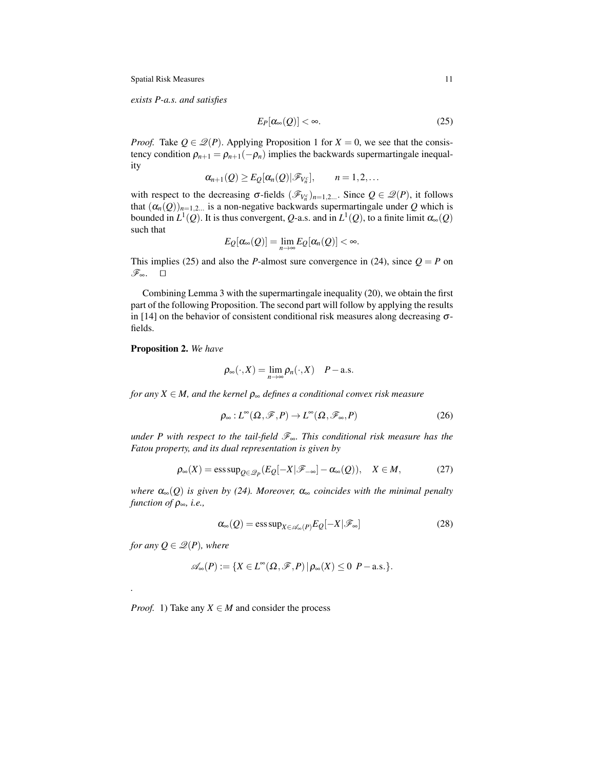*exists P-a.s. and satisfies*

$$
E_P[\alpha_\infty(Q)] < \infty. \tag{25}
$$

*Proof.* Take  $Q \in \mathcal{Q}(P)$ . Applying Proposition 1 for  $X = 0$ , we see that the consistency condition  $\rho_{n+1} = \rho_{n+1}(-\rho_n)$  implies the backwards supermartingale inequality

$$
\alpha_{n+1}(Q) \geq E_Q[\alpha_n(Q)|\mathscr{F}_{V_n^c}], \qquad n=1,2,\ldots
$$

with respect to the decreasing  $\sigma$ -fields  $(\mathscr{F}_{V_n^c})_{n=1,2...}$ . Since  $Q \in \mathscr{Q}(P)$ , it follows that  $(\alpha_n(Q))_{n=1,2...}$  is a non-negative backwards supermartingale under Q which is bounded in  $L^1(Q)$ . It is thus convergent, Q-a.s. and in  $L^1(Q)$ , to a finite limit  $\alpha_\infty(Q)$ such that

$$
E_{Q}[\alpha_{\infty}(Q)] = \lim_{n \to \infty} E_{Q}[\alpha_{n}(Q)] < \infty.
$$

This implies (25) and also the *P*-almost sure convergence in (24), since  $Q = P$  on *F*<sub>∞</sub>.  $□$ 

Combining Lemma 3 with the supermartingale inequality (20), we obtain the first part of the following Proposition. The second part will follow by applying the results in [14] on the behavior of consistent conditional risk measures along decreasing  $\sigma$ fields.

Proposition 2. *We have*

$$
\rho_{\infty}(\cdot,X)=\lim_{n\to\infty}\rho_n(\cdot,X)\quad P-\text{a.s.}
$$

*for any X* ∈ *M, and the kernel* ρ<sup>∞</sup> *defines a conditional convex risk measure*

$$
\rho_{\infty}: L^{\infty}(\Omega, \mathscr{F}, P) \to L^{\infty}(\Omega, \mathscr{F}_{\infty}, P) \tag{26}
$$

*under P with respect to the tail-field F*∞*. This conditional risk measure has the Fatou property, and its dual representation is given by*

$$
\rho_{\infty}(X) = \operatorname{ess\,sup}_{Q \in \mathscr{Q}_P} (E_Q[-X|\mathscr{F}_{-\infty}] - \alpha_{\infty}(Q)), \quad X \in M,
$$
 (27)

*where*  $α_∞(Q)$  *is given by (24). Moreover,*  $α_∞$  *coincides with the minimal penalty function of* ρ∞*, i.e.,*

$$
\alpha_{\infty}(Q) = \operatorname{ess\,sup}_{X \in \mathscr{A}_{\infty}(P)} E_Q[-X|\mathscr{F}_{\infty}] \tag{28}
$$

*for any*  $Q \in \mathcal{Q}(P)$ *, where* 

*.*

$$
\mathscr{A}_{\infty}(P):=\{X\in L^{\infty}(\Omega,\mathscr{F},P)\,|\,\rho_{\infty}(X)\leq 0\ \, P-\text{a.s.}\}.
$$

*Proof.* 1) Take any  $X \in M$  and consider the process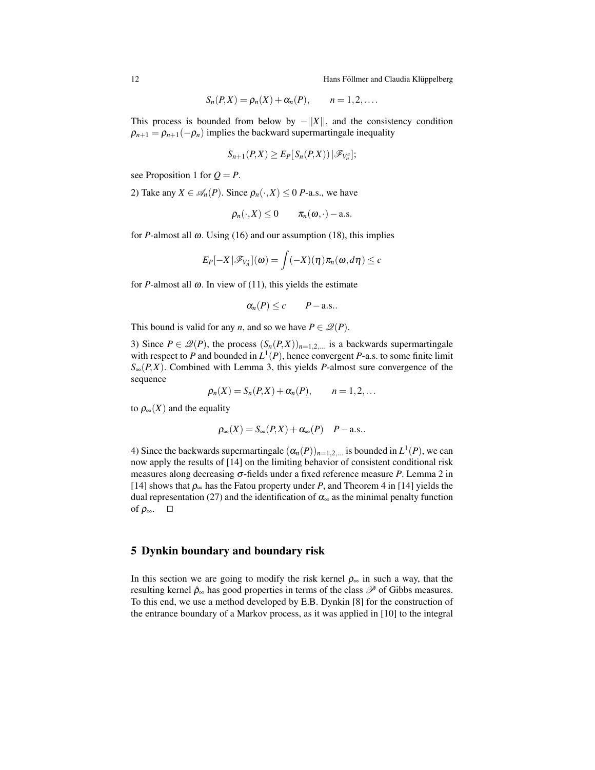12 **Hans Föllmer and Claudia Klüppelberg** ¨

$$
S_n(P,X)=\rho_n(X)+\alpha_n(P), \qquad n=1,2,\ldots.
$$

This process is bounded from below by  $-||X||$ , and the consistency condition  $\rho_{n+1} = \rho_{n+1}(-\rho_n)$  implies the backward supermartingale inequality

$$
S_{n+1}(P,X)\geq E_P[S_n(P,X))\,|\mathscr{F}_{V_n^c}];
$$

see Proposition 1 for  $Q = P$ .

2) Take any  $X \in \mathcal{A}_n(P)$ . Since  $\rho_n(\cdot, X) \leq 0$  *P*-a.s., we have

$$
\rho_n(\cdot,X)\leq 0\qquad \pi_n(\boldsymbol{\omega},\cdot)-\text{a.s.}
$$

for *P*-almost all  $\omega$ . Using (16) and our assumption (18), this implies

$$
E_P[-X\,|\mathscr{F}_{V_n^c}](\boldsymbol{\omega})=\int (-X)(\boldsymbol{\eta})\pi_n(\boldsymbol{\omega},d\boldsymbol{\eta})\leq c
$$

for *P*-almost all  $\omega$ . In view of (11), this yields the estimate

$$
\alpha_n(P) \leq c \qquad P-\text{a.s.}.
$$

This bound is valid for any *n*, and so we have  $P \in \mathcal{Q}(P)$ .

3) Since  $P \in \mathcal{Q}(P)$ , the process  $(S_n(P,X))_{n=1,2,...}$  is a backwards supermartingale with respect to *P* and bounded in  $L^1(P)$ , hence convergent *P*-a.s. to some finite limit  $S_{\infty}(P,X)$ . Combined with Lemma 3, this yields *P*-almost sure convergence of the sequence

$$
\rho_n(X)=S_n(P,X)+\alpha_n(P), \qquad n=1,2,\ldots
$$

to  $\rho_{\infty}(X)$  and the equality

$$
\rho_{\infty}(X) = S_{\infty}(P,X) + \alpha_{\infty}(P) \quad P - \text{a.s.}.
$$

4) Since the backwards supermartingale  $(\alpha_n(P))_{n=1,2,...}$  is bounded in  $L^1(P)$ , we can now apply the results of [14] on the limiting behavior of consistent conditional risk measures along decreasing  $\sigma$ -fields under a fixed reference measure *P*. Lemma 2 in [14] shows that  $\rho_{\infty}$  has the Fatou property under *P*, and Theorem 4 in [14] yields the dual representation (27) and the identification of  $\alpha_{\infty}$  as the minimal penalty function of  $\rho_{\infty}$ .  $\Box$ 

### 5 Dynkin boundary and boundary risk

In this section we are going to modify the risk kernel  $\rho_{\infty}$  in such a way, that the resulting kernel  $\hat{\rho}_{\infty}$  has good properties in terms of the class  $\mathscr{P}$  of Gibbs measures. To this end, we use a method developed by E.B. Dynkin [8] for the construction of the entrance boundary of a Markov process, as it was applied in [10] to the integral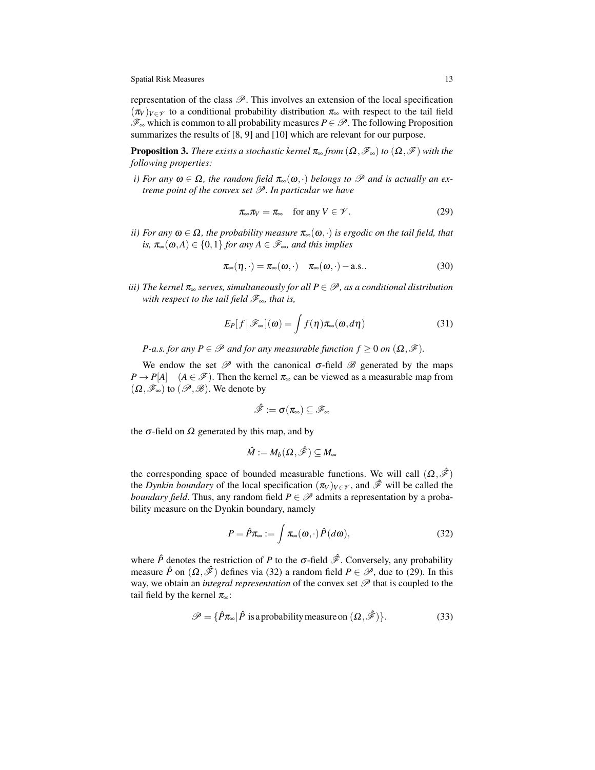representation of the class  $\mathscr{P}$ . This involves an extension of the local specification  $(\pi_V)_{V \in \mathcal{V}}$  to a conditional probability distribution  $\pi_{\infty}$  with respect to the tail field  $\mathscr{F}_{\infty}$  which is common to all probability measures *P* ∈  $\mathscr{P}$ . The following Proposition summarizes the results of [8, 9] and [10] which are relevant for our purpose.

**Proposition 3.** *There exists a stochastic kernel*  $\pi_{\infty}$  *from*  $(\Omega, \mathcal{F}_{\infty})$  *to*  $(\Omega, \mathcal{F})$  *with the following properties:*

*i)* For any  $\omega \in \Omega$ , the random field  $\pi_{\infty}(\omega, \cdot)$  belongs to  $\mathscr P$  and is actually an ex*treme point of the convex set P. In particular we have*

$$
\pi_{\infty}\pi_V = \pi_{\infty} \quad \text{for any } V \in \mathcal{V}.
$$
 (29)

*ii)* For any  $\omega \in \Omega$ , the probability measure  $\pi_{\infty}(\omega, \cdot)$  is ergodic on the tail field, that *is,*  $\pi_{\infty}(\omega, A) \in \{0, 1\}$  *for any*  $A \in \mathscr{F}_{\infty}$ *, and this implies* 

$$
\pi_{\infty}(\eta,\cdot) = \pi_{\infty}(\omega,\cdot) \quad \pi_{\infty}(\omega,\cdot) - \text{a.s.} \tag{30}
$$

*iii) The kernel*  $\pi_{\infty}$  *serves, simultaneously for all*  $P \in \mathcal{P}$ *, as a conditional distribution with respect to the tail field F*∞*, that is,*

$$
E_P[f|\mathscr{F}_\infty](\omega) = \int f(\eta)\pi_\infty(\omega, d\eta)
$$
 (31)

*P*-a.s. for any  $P \in \mathcal{P}$  and for any measurable function  $f \geq 0$  on  $(\Omega, \mathcal{F})$ .

We endow the set  $\mathscr P$  with the canonical  $\sigma$ -field  $\mathscr B$  generated by the maps  $P \to P[A]$  (*A* ∈  $\mathscr{F}$ ). Then the kernel  $\pi_{\infty}$  can be viewed as a measurable map from  $(\Omega, \mathscr{F}_\infty)$  to  $(\mathscr{P}, \mathscr{B})$ . We denote by

$$
\hat{\mathscr{F}}:=\sigma(\pi_\infty)\subseteq \mathscr{F}_\infty
$$

the  $\sigma$ -field on  $\Omega$  generated by this map, and by

$$
\hat{M}:=M_b(\Omega,\hat{\mathscr{F}})\subseteq M_\infty
$$

the corresponding space of bounded measurable functions. We will call  $(\Omega, \hat{\mathscr{F}})$ the *Dynkin boundary* of the local specification  $(\pi_V)_{V \in \mathcal{V}}$ , and  $\hat{\mathcal{F}}$  will be called the *boundary field*. Thus, any random field  $P \in \mathcal{P}$  admits a representation by a probability measure on the Dynkin boundary, namely

$$
P = \hat{P}\pi_{\infty} := \int \pi_{\infty}(\omega, \cdot) \hat{P}(d\omega), \qquad (32)
$$

where  $\hat{P}$  denotes the restriction of *P* to the  $\sigma$ -field  $\hat{\mathcal{F}}$ . Conversely, any probability measure  $\hat{P}$  on  $(\Omega, \hat{\mathcal{F}})$  defines via (32) a random field  $P \in \mathcal{P}$ , due to (29). In this way, we obtain an *integral representation* of the convex set *P* that is coupled to the tail field by the kernel  $\pi_{\infty}$ :

$$
\mathscr{P} = \{ \hat{P}\pi_{\infty} | \hat{P} \text{ is a probability measure on } (\Omega, \hat{\mathscr{F}}) \}. \tag{33}
$$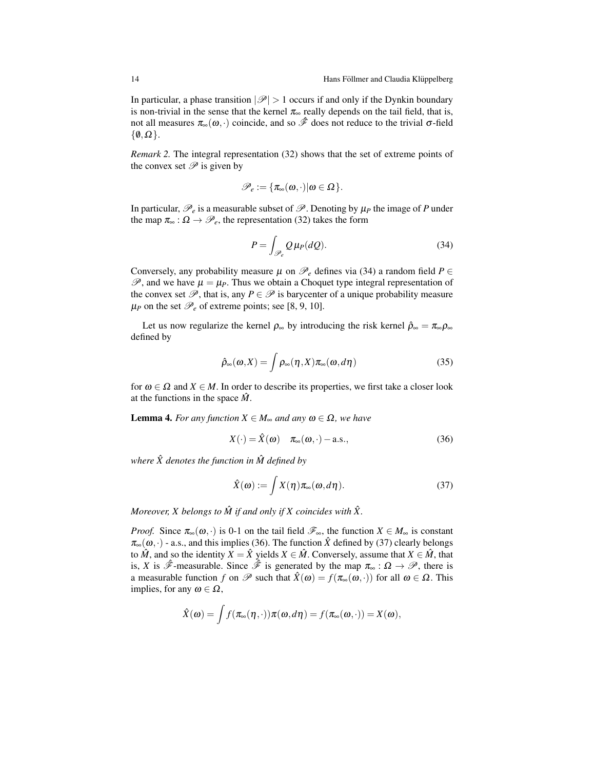In particular, a phase transition  $|\mathcal{P}| > 1$  occurs if and only if the Dynkin boundary is non-trivial in the sense that the kernel  $\pi_{\infty}$  really depends on the tail field, that is, not all measures  $\pi_{\infty}(\omega, \cdot)$  coincide, and so  $\hat{\mathscr{F}}$  does not reduce to the trivial σ-field  $\{\emptyset, \Omega\}.$ 

*Remark 2.* The integral representation (32) shows that the set of extreme points of the convex set  $\mathscr P$  is given by

$$
\mathscr{P}_e:=\{\pi_\infty(\omega,\cdot)|\omega\in\Omega\}.
$$

In particular,  $\mathcal{P}_e$  is a measurable subset of  $\mathcal{P}$ . Denoting by  $\mu_P$  the image of P under the map  $\pi_{\infty} : \Omega \to \mathcal{P}_e$ , the representation (32) takes the form

$$
P = \int_{\mathcal{P}_e} Q \,\mu_P(dQ). \tag{34}
$$

Conversely, any probability measure  $\mu$  on  $\mathcal{P}_e$  defines via (34) a random field  $P \in$  $\mathscr{P}$ , and we have  $\mu = \mu_P$ . Thus we obtain a Choquet type integral representation of the convex set  $\mathscr{P}$ , that is, any  $P \in \mathscr{P}$  is barycenter of a unique probability measure  $\mu$ <sup>*P*</sup> on the set  $\mathcal{P}_e$  of extreme points; see [8, 9, 10].

Let us now regularize the kernel  $\rho_{\infty}$  by introducing the risk kernel  $\hat{\rho}_{\infty} = \pi_{\infty} \rho_{\infty}$ defined by

$$
\hat{\rho}_{\infty}(\omega, X) = \int \rho_{\infty}(\eta, X) \pi_{\infty}(\omega, d\eta) \tag{35}
$$

for  $\omega \in \Omega$  and  $X \in M$ . In order to describe its properties, we first take a closer look at the functions in the space  $\hat{M}$ .

**Lemma 4.** *For any function*  $X \in M_\infty$  *and any*  $\omega \in \Omega$ *, we have* 

$$
X(\cdot) = \hat{X}(\omega) \quad \pi_{\infty}(\omega, \cdot) - \text{a.s.},\tag{36}
$$

*where*  $\hat{X}$  *denotes the function in*  $\hat{M}$  *defined by* 

$$
\hat{X}(\omega) := \int X(\eta) \pi_{\infty}(\omega, d\eta). \tag{37}
$$

*Moreover, X belongs to*  $\hat{M}$  *if and only if X coincides with*  $\hat{X}$ *.* 

*Proof.* Since  $\pi_{\infty}(\omega, \cdot)$  is 0-1 on the tail field  $\mathscr{F}_{\infty}$ , the function  $X \in M_{\infty}$  is constant  $\pi_{\infty}(\omega, \cdot)$  - a.s., and this implies (36). The function  $\hat{X}$  defined by (37) clearly belongs to  $\hat{M}$ , and so the identity  $\hat{X} = \hat{X}$  yields  $X \in \hat{M}$ . Conversely, assume that  $X \in \hat{M}$ , that is, *X* is  $\hat{\mathscr{F}}$ -measurable. Since  $\hat{\mathscr{F}}$  is generated by the map  $\pi_{\infty} : \Omega \to \mathscr{P}$ , there is a measurable function *f* on  $\mathscr P$  such that  $\hat X(\omega) = f(\pi_\infty(\omega, \cdot))$  for all  $\omega \in \Omega$ . This implies, for any  $\omega \in \Omega$ ,

$$
\hat{X}(\boldsymbol{\omega}) = \int f(\pi_{\infty}(\boldsymbol{\eta},\cdot))\pi(\boldsymbol{\omega},d\boldsymbol{\eta}) = f(\pi_{\infty}(\boldsymbol{\omega},\cdot)) = X(\boldsymbol{\omega}),
$$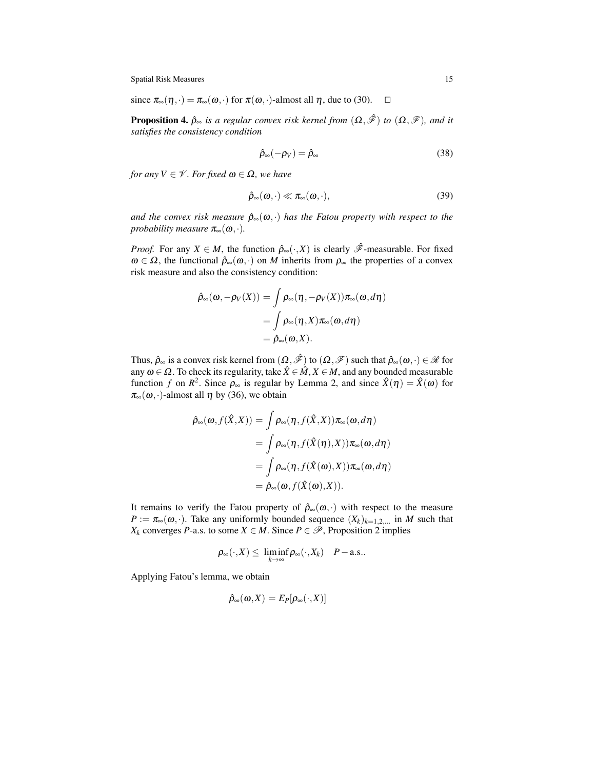since  $\pi_{\infty}(\eta, \cdot) = \pi_{\infty}(\omega, \cdot)$  for  $\pi(\omega, \cdot)$ -almost all  $\eta$ , due to (30).  $\Box$ 

**Proposition 4.**  $\hat{\rho}_{\infty}$  *is a regular convex risk kernel from*  $(\Omega, \hat{\mathcal{F}})$  *to*  $(\Omega, \hat{\mathcal{F}})$ *, and it satisfies the consistency condition*

$$
\hat{\rho}_{\infty}(-\rho_V) = \hat{\rho}_{\infty} \tag{38}
$$

*for any*  $V \in \mathcal{V}$ *. For fixed*  $\omega \in \Omega$ *, we have* 

$$
\hat{\rho}_{\infty}(\omega,\cdot)\ll\pi_{\infty}(\omega,\cdot),\tag{39}
$$

*and the convex risk measure*  $\hat{\rho}_{\infty}(\omega, \cdot)$  *has the Fatou property with respect to the probability measure*  $\pi_{\infty}(\omega, \cdot)$ *.* 

*Proof.* For any  $X \in M$ , the function  $\hat{\rho}_{\infty}(\cdot, X)$  is clearly  $\hat{\mathscr{F}}$ -measurable. For fixed  $\omega \in \Omega$ , the functional  $\hat{\rho}_{\infty}(\omega, \cdot)$  on *M* inherits from  $\rho_{\infty}$  the properties of a convex risk measure and also the consistency condition:

$$
\hat{\rho}_{\infty}(\omega, -\rho_V(X)) = \int \rho_{\infty}(\eta, -\rho_V(X)) \pi_{\infty}(\omega, d\eta)
$$
  
= 
$$
\int \rho_{\infty}(\eta, X) \pi_{\infty}(\omega, d\eta)
$$
  
= 
$$
\hat{\rho}_{\infty}(\omega, X).
$$

Thus,  $\hat{\rho}_{\infty}$  is a convex risk kernel from  $(\Omega, \hat{\mathscr{F}})$  to  $(\Omega, \hat{\mathscr{F}})$  such that  $\hat{\rho}_{\infty}(\omega, \cdot) \in \mathscr{R}$  for any  $\omega \in \Omega$ . To check its regularity, take  $\hat{X} \in \hat{M}$ ,  $X \in M$ , and any bounded measurable function *f* on  $R^2$ . Since  $\rho_{\infty}$  is regular by Lemma 2, and since  $\hat{X}(\eta) = \hat{X}(\omega)$  for  $\pi_{\infty}(\omega, \cdot)$ -almost all  $\eta$  by (36), we obtain

$$
\hat{\rho}_{\infty}(\omega, f(\hat{X}, X)) = \int \rho_{\infty}(\eta, f(\hat{X}, X)) \pi_{\infty}(\omega, d\eta)
$$
  
= 
$$
\int \rho_{\infty}(\eta, f(\hat{X}(\eta), X)) \pi_{\infty}(\omega, d\eta)
$$
  
= 
$$
\int \rho_{\infty}(\eta, f(\hat{X}(\omega), X)) \pi_{\infty}(\omega, d\eta)
$$
  
= 
$$
\hat{\rho}_{\infty}(\omega, f(\hat{X}(\omega), X)).
$$

It remains to verify the Fatou property of  $\hat{\rho}_{\infty}(\omega, \cdot)$  with respect to the measure  $P := \pi_{\infty}(\omega, \cdot)$ . Take any uniformly bounded sequence  $(X_k)_{k=1,2,...}$  in *M* such that *X<sub>k</sub>* converges *P*-a.s. to some *X* ∈ *M*. Since *P* ∈  $\mathcal{P}$ , Proposition 2 implies

$$
\rho_{\infty}(\cdot,X)\leq \liminf_{k\to\infty}\rho_{\infty}(\cdot,X_k)\quad P-\text{a.s.}.
$$

Applying Fatou's lemma, we obtain

$$
\hat{\rho}_{\infty}(\omega,X)=E_P[\rho_{\infty}(\cdot,X)]
$$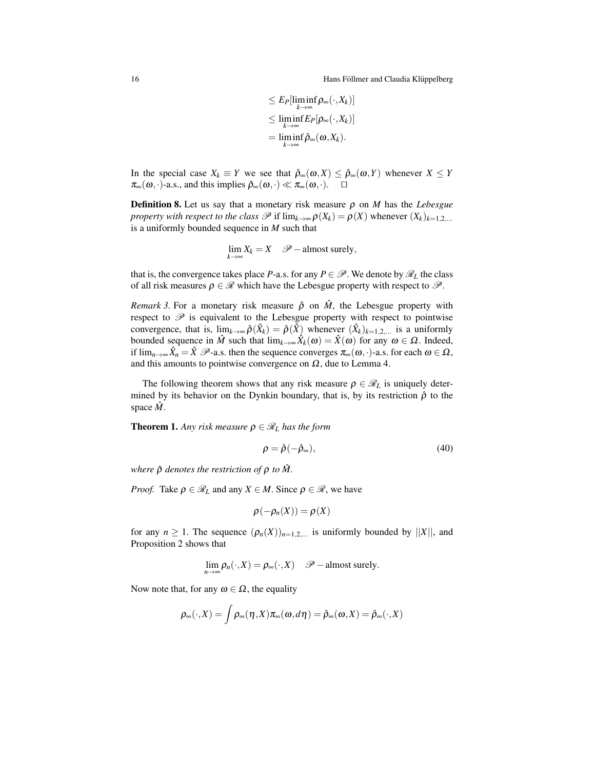16 **Hans Föllmer and Claudia Klüppelberg** Theorem in the Hans Föllmer and Claudia Klüppelberg

$$
\leq E_P[\liminf_{k\to\infty} \rho_\infty(\cdot, X_k)]
$$
  
\n
$$
\leq \liminf_{k\to\infty} E_P[\rho_\infty(\cdot, X_k)]
$$
  
\n
$$
= \liminf_{k\to\infty} \hat{\rho}_\infty(\omega, X_k).
$$

In the special case  $X_k \equiv Y$  we see that  $\hat{\rho}_{\infty}(\omega, X) \leq \hat{\rho}_{\infty}(\omega, Y)$  whenever  $X \leq Y$  $\pi_{\infty}(\omega, \cdot)$ -a.s., and this implies  $\hat{\rho}_{\infty}(\omega, \cdot) \ll \pi_{\infty}(\omega, \cdot)$ .  $\Box$ 

**Definition 8.** Let us say that a monetary risk measure  $\rho$  on *M* has the *Lebesgue property with respect to the class*  $\mathscr P$  if  $\lim_{k\to\infty} \rho(X_k) = \rho(X)$  whenever  $(X_k)_{k=1,2,...}$ is a uniformly bounded sequence in *M* such that

$$
\lim_{k \to \infty} X_k = X \quad \mathscr{P}-\text{almost surely},
$$

that is, the convergence takes place *P*-a.s. for any  $P \in \mathcal{P}$ . We denote by  $\mathcal{R}_L$  the class of all risk measures  $\rho \in \mathcal{R}$  which have the Lebesgue property with respect to  $\mathcal{P}$ .

*Remark 3.* For a monetary risk measure  $\hat{\rho}$  on  $\hat{M}$ , the Lebesgue property with respect to  $\mathscr P$  is equivalent to the Lebesgue property with respect to pointwise convergence, that is,  $\lim_{k \to \infty} \hat{\rho}(\hat{X}_k) = \hat{\rho}(\hat{X})$  whenever  $(\hat{X}_k)_{k=1,2,...}$  is a uniformly bounded sequence in  $\hat{M}$  such that  $\lim_{k \to \infty} \hat{X}_k(\omega) = \hat{X}(\omega)$  for any  $\omega \in \Omega$ . Indeed, if  $\lim_{n\to\infty} \hat{X}_n = \hat{X}$   $\mathscr{P}$ -a.s. then the sequence converges  $\pi_{\infty}(\omega, \cdot)$ -a.s. for each  $\omega \in \Omega$ , and this amounts to pointwise convergence on  $\Omega$ , due to Lemma 4.

The following theorem shows that any risk measure  $\rho \in \mathcal{R}_L$  is uniquely determined by its behavior on the Dynkin boundary, that is, by its restriction  $\hat{\rho}$  to the space  $M$ .

**Theorem 1.** Any risk measure  $\rho \in \mathcal{R}_L$  has the form

$$
\rho = \hat{\rho}(-\hat{\rho}_{\infty}),\tag{40}
$$

*where*  $\hat{\rho}$  *denotes the restriction of*  $\rho$  *to*  $\hat{M}$ *.* 

*Proof.* Take  $\rho \in \mathcal{R}_L$  and any  $X \in M$ . Since  $\rho \in \mathcal{R}$ , we have

$$
\rho(-\rho_n(X))=\rho(X)
$$

for any  $n \ge 1$ . The sequence  $(\rho_n(X))_{n=1,2,...}$  is uniformly bounded by  $||X||$ , and Proposition 2 shows that

$$
\lim_{n\to\infty}\rho_n(\cdot,X)=\rho_\infty(\cdot,X)\quad \mathscr{P}-\text{almost surely}.
$$

Now note that, for any  $\omega \in \Omega$ , the equality

$$
\rho_\infty(\cdot,X)=\int \rho_\infty(\eta,X)\pi_\infty(\omega,d\eta)=\hat\rho_\infty(\omega,X)=\hat\rho_\infty(\cdot,X)
$$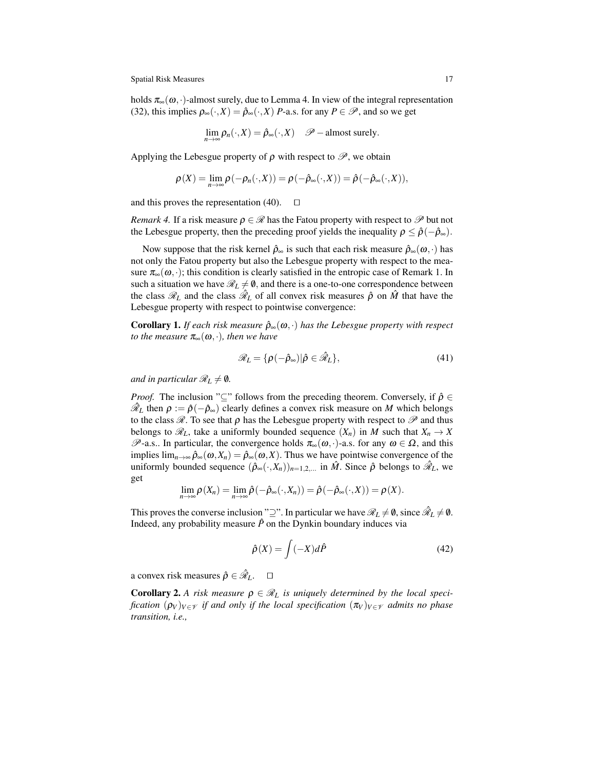holds  $\pi_{\infty}(\omega, \cdot)$ -almost surely, due to Lemma 4. In view of the integral representation (32), this implies  $\rho_{\infty}(\cdot, X) = \hat{\rho}_{\infty}(\cdot, X)$  *P*-a.s. for any  $P \in \mathcal{P}$ , and so we get

$$
\lim_{n\to\infty}\rho_n(\cdot,X)=\hat{\rho}_\infty(\cdot,X)\quad \mathscr{P}-\text{almost surely}.
$$

Applying the Lebesgue property of  $\rho$  with respect to  $\mathcal{P}$ , we obtain

$$
\rho(X) = \lim_{n \to \infty} \rho(-\rho_n(\cdot, X)) = \rho(-\hat{\rho}_{\infty}(\cdot, X)) = \hat{\rho}(-\hat{\rho}_{\infty}(\cdot, X)),
$$

and this proves the representation (40).  $\Box$ 

*Remark 4.* If a risk measure  $\rho \in \mathcal{R}$  has the Fatou property with respect to  $\mathcal{P}$  but not the Lebesgue property, then the preceding proof yields the inequality  $\rho \leq \hat{\rho}(-\hat{\rho}_{\infty})$ *.* 

Now suppose that the risk kernel  $\hat{\rho}_{\infty}$  is such that each risk measure  $\hat{\rho}_{\infty}(\omega, \cdot)$  has not only the Fatou property but also the Lebesgue property with respect to the measure  $\pi_{\infty}(\omega, \cdot)$ ; this condition is clearly satisfied in the entropic case of Remark 1. In such a situation we have  $\mathcal{R}_L \neq \emptyset$ , and there is a one-to-one correspondence between the class  $\mathcal{R}_L$  and the class  $\hat{\mathcal{R}}_L$  of all convex risk measures  $\hat{\rho}$  on  $\hat{M}$  that have the Lebesgue property with respect to pointwise convergence:

**Corollary 1.** *If each risk measure*  $\hat{\rho}_{\infty}(\omega, \cdot)$  *has the Lebesgue property with respect to the measure*  $\pi_{\infty}(\omega, \cdot)$ *, then we have* 

$$
\mathscr{R}_L = \{ \rho(-\hat{\rho}_\infty) | \hat{\rho} \in \hat{\mathscr{R}}_L \},\tag{41}
$$

*and in particular*  $\mathcal{R}_L \neq \emptyset$ *.* 

*Proof.* The inclusion "⊆" follows from the preceding theorem. Conversely, if  $\hat{\rho} \in$  $\hat{\mathcal{R}}_L$  then  $\rho := \hat{\rho}(-\hat{\rho}_{\infty})$  clearly defines a convex risk measure on *M* which belongs to the class  $\mathscr R$ . To see that  $\rho$  has the Lebesgue property with respect to  $\mathscr P$  and thus belongs to  $\mathcal{R}_L$ , take a uniformly bounded sequence  $(X_n)$  in *M* such that  $X_n \to X$ *P*-a.s.. In particular, the convergence holds  $π_∞(ω, ·)$ -a.s. for any  $ω ∈ Ω$ , and this implies  $\lim_{n\to\infty} \hat{\rho}_{\infty}(\omega, X_n) = \hat{\rho}_{\infty}(\omega, X)$ . Thus we have pointwise convergence of the uniformly bounded sequence  $(\hat{\rho}_{\infty}(\cdot, X_n))_{n=1,2,...}$  in  $\hat{M}$ . Since  $\hat{\rho}$  belongs to  $\hat{\mathcal{R}}_L$ , we get

$$
\lim_{n\to\infty}\rho(X_n)=\lim_{n\to\infty}\hat{\rho}(-\hat{\rho}_{\infty}(\cdot,X_n))=\hat{\rho}(-\hat{\rho}_{\infty}(\cdot,X))=\rho(X).
$$

This proves the converse inclusion "2". In particular we have  $\mathcal{R}_L \neq \mathbf{0}$ , since  $\hat{\mathcal{R}}_L \neq \mathbf{0}$ . Indeed, any probability measure  $\hat{P}$  on the Dynkin boundary induces via

$$
\hat{\rho}(X) = \int (-X)d\hat{P}
$$
\n(42)

a convex risk measures  $\hat{\rho} \in \hat{\mathcal{R}}_L$ . *<sup>L</sup>*. -.

**Corollary 2.** A risk measure  $\rho \in \mathcal{R}_L$  is uniquely determined by the local speci*fication*  $(\rho_V)_{V \in \mathcal{V}}$  *if and only if the local specification*  $(\pi_V)_{V \in \mathcal{V}}$  *admits no phase transition, i.e.,*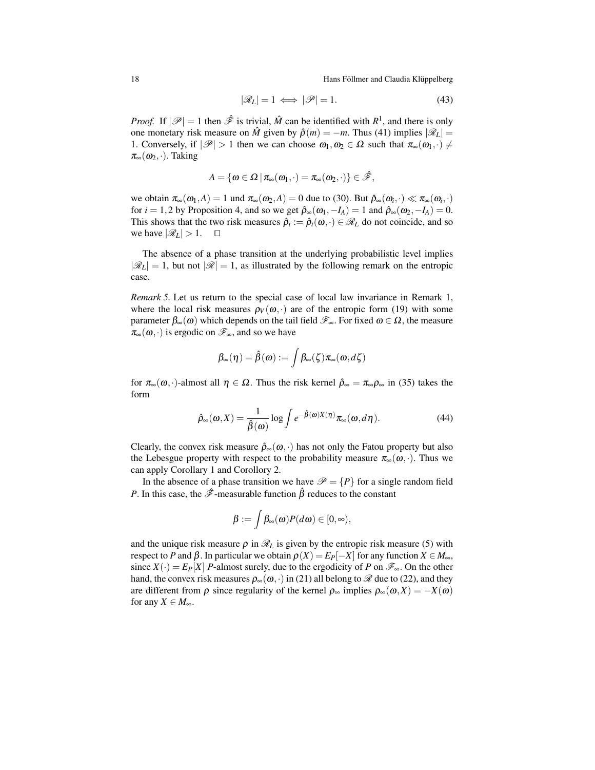18 **Hans Föllmer and Claudia Klüppelberg** ¨

$$
|\mathcal{R}_L| = 1 \iff |\mathcal{P}| = 1. \tag{43}
$$

*Proof.* If  $|\mathscr{P}| = 1$  then  $\hat{\mathscr{F}}$  is trivial,  $\hat{M}$  can be identified with  $R^1$ , and there is only one monetary risk measure on  $\hat{M}$  given by  $\hat{\rho}(m) = -m$ . Thus (41) implies  $|\mathscr{R}_L|$ 1. Conversely, if  $|\mathscr{P}| > 1$  then we can choose  $\omega_1, \omega_2 \in \Omega$  such that  $\pi_{\infty}(\omega_1, \cdot) \neq$  $\pi_{\infty}(\omega_2,\cdot)$ . Taking

$$
A=\{\omega\in\Omega\,|\,\pi_\infty(\omega_1,\cdot)=\pi_\infty(\omega_2,\cdot)\}\in\hat{\mathscr{F}},
$$

we obtain  $\pi_{\infty}(\omega_1, A) = 1$  und  $\pi_{\infty}(\omega_2, A) = 0$  due to (30). But  $\hat{\rho}_{\infty}(\omega_i, \cdot) \ll \pi_{\infty}(\omega_i, \cdot)$ for  $i = 1,2$  by Proposition 4, and so we get  $\hat{\rho}_{\infty}(\omega_1, -I_A) = 1$  and  $\hat{\rho}_{\infty}(\omega_2, -I_A) = 0$ . This shows that the two risk measures  $\hat{\rho}_i := \hat{\rho}_i(\omega, \cdot) \in \mathcal{R}_L$  do not coincide, and so we have  $|\mathcal{R}_L| > 1$ .  $\Box$ 

The absence of a phase transition at the underlying probabilistic level implies  $|\mathscr{R}_L| = 1$ , but not  $|\mathscr{R}| = 1$ , as illustrated by the following remark on the entropic case.

*Remark 5.* Let us return to the special case of local law invariance in Remark 1, where the local risk measures  $\rho_V(\omega, \cdot)$  are of the entropic form (19) with some parameter  $β<sub>∞</sub>(ω)$  which depends on the tail field  $\mathscr{F}<sub>∞</sub>$ . For fixed  $ω ∈ Ω$ , the measure  $\pi_{\infty}(\omega,\cdot)$  is ergodic on  $\mathscr{F}_{\infty}$ , and so we have

$$
\beta_{\infty}(\eta) = \hat{\beta}(\omega) := \int \beta_{\infty}(\zeta) \pi_{\infty}(\omega, d\zeta)
$$

for  $\pi_{\infty}(\omega,\cdot)$ -almost all  $\eta \in \Omega$ . Thus the risk kernel  $\hat{\rho}_{\infty} = \pi_{\infty} \rho_{\infty}$  in (35) takes the form

$$
\hat{\rho}_{\infty}(\omega, X) = \frac{1}{\hat{\beta}(\omega)} \log \int e^{-\hat{\beta}(\omega)X(\eta)} \pi_{\infty}(\omega, d\eta).
$$
 (44)

Clearly, the convex risk measure  $\hat{\rho}_{\infty}(\omega, \cdot)$  has not only the Fatou property but also the Lebesgue property with respect to the probability measure  $\pi_{\infty}(\omega, \cdot)$ . Thus we can apply Corollary 1 and Corollory 2.

In the absence of a phase transition we have  $\mathcal{P} = \{P\}$  for a single random field *P*. In this case, the  $\hat{\mathcal{F}}$ -measurable function  $\hat{\beta}$  reduces to the constant

$$
\beta := \int \beta_{\infty}(\omega) P(d\omega) \in [0,\infty),
$$

and the unique risk measure  $\rho$  in  $\mathcal{R}_L$  is given by the entropic risk measure (5) with respect to *P* and *β*. In particular we obtain  $ρ(X) = E<sub>P</sub>[-X]$  for any function  $X \in M_\infty$ , since  $X(\cdot) = E_P[X]$  *P*-almost surely, due to the ergodicity of *P* on  $\mathscr{F}_{\infty}$ . On the other hand, the convex risk measures  $\rho_{\infty}(\omega, \cdot)$  in (21) all belong to  $\mathcal R$  due to (22), and they are different from  $\rho$  since regularity of the kernel  $\rho_{\infty}$  implies  $\rho_{\infty}(\omega, X) = -X(\omega)$ for any  $X \in M_{\infty}$ .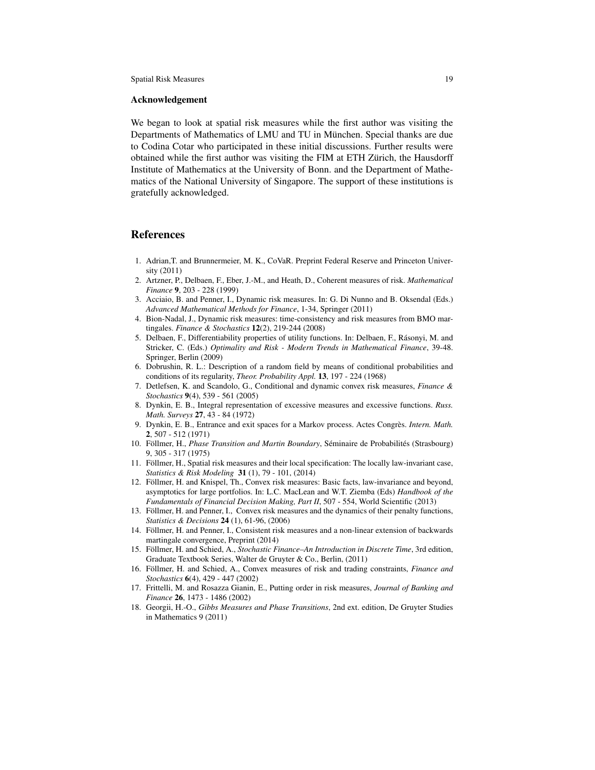#### Acknowledgement

We began to look at spatial risk measures while the first author was visiting the Departments of Mathematics of LMU and TU in München. Special thanks are due to Codina Cotar who participated in these initial discussions. Further results were obtained while the first author was visiting the FIM at ETH Zürich, the Hausdorff Institute of Mathematics at the University of Bonn. and the Department of Mathematics of the National University of Singapore. The support of these institutions is gratefully acknowledged.

### References

- 1. Adrian,T. and Brunnermeier, M. K., CoVaR. Preprint Federal Reserve and Princeton University (2011)
- 2. Artzner, P., Delbaen, F., Eber, J.-M., and Heath, D., Coherent measures of risk. *Mathematical Finance* 9, 203 - 228 (1999)
- 3. Acciaio, B. and Penner, I., Dynamic risk measures. In: G. Di Nunno and B. Oksendal (Eds.) *Advanced Mathematical Methods for Finance*, 1-34, Springer (2011)
- 4. Bion-Nadal, J., Dynamic risk measures: time-consistency and risk measures from BMO martingales. *Finance & Stochastics* 12(2), 219-244 (2008)
- 5. Delbaen, F., Differentiability properties of utility functions. In: Delbaen, F., Rasonyi, M. and ´ Stricker, C. (Eds.) *Optimality and Risk - Modern Trends in Mathematical Finance*, 39-48. Springer, Berlin (2009)
- 6. Dobrushin, R. L.: Description of a random field by means of conditional probabilities and conditions of its regularity, *Theor. Probability Appl.* 13, 197 - 224 (1968)
- 7. Detlefsen, K. and Scandolo, G., Conditional and dynamic convex risk measures, *Finance & Stochastics* 9(4), 539 - 561 (2005)
- 8. Dynkin, E. B., Integral representation of excessive measures and excessive functions. *Russ. Math. Surveys* 27, 43 - 84 (1972)
- 9. Dynkin, E. B., Entrance and exit spaces for a Markov process. Actes Congrès. Intern. Math. 2, 507 - 512 (1971)
- 10. Föllmer, H., *Phase Transition and Martin Boundary*, Séminaire de Probabilités (Strasbourg) 9, 305 - 317 (1975)
- 11. Follmer, H., Spatial risk measures and their local specification: The locally law-invariant case, ¨ *Statistics & Risk Modeling* 31 (1), 79 - 101, (2014)
- 12. Föllmer, H. and Knispel, Th., Convex risk measures: Basic facts, law-invariance and beyond, asymptotics for large portfolios. In: L.C. MacLean and W.T. Ziemba (Eds) *Handbook of the Fundamentals of Financial Decision Making, Part II*, 507 - 554, World Scientific (2013)
- 13. Föllmer, H. and Penner, I., Convex risk measures and the dynamics of their penalty functions, *Statistics & Decisions* 24 (1), 61-96, (2006)
- 14. Follmer, H. and Penner, I., Consistent risk measures and a non-linear extension of backwards ¨ martingale convergence, Preprint (2014)
- 15. Föllmer, H. and Schied, A., *Stochastic Finance–An Introduction in Discrete Time*, 3rd edition, Graduate Textbook Series, Walter de Gruyter & Co., Berlin, (2011)
- 16. Föllmer, H. and Schied, A., Convex measures of risk and trading constraints, *Finance and Stochastics* 6(4), 429 - 447 (2002)
- 17. Frittelli, M. and Rosazza Gianin, E., Putting order in risk measures, *Journal of Banking and Finance* 26, 1473 - 1486 (2002)
- 18. Georgii, H.-O., *Gibbs Measures and Phase Transitions*, 2nd ext. edition, De Gruyter Studies in Mathematics 9 (2011)